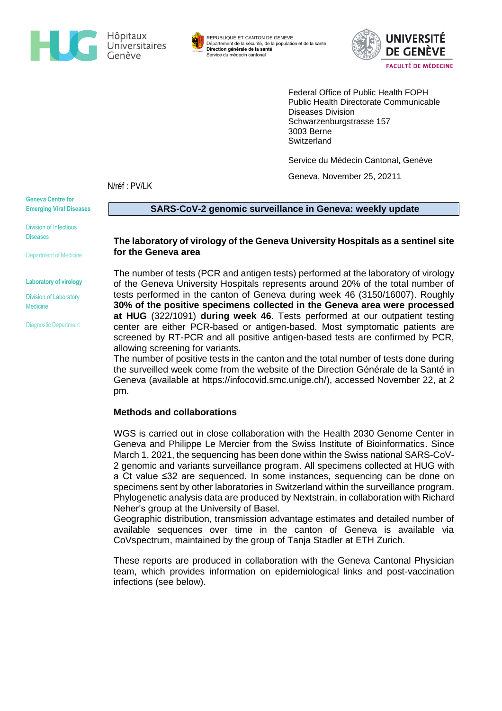



REPUBLIQUE ET CANTON DE GENEVE Département de la sécurité, de la population et de la santé **Direction générale de la santé** Service du médecin cantonal



Federal Office of Public Health FOPH Public Health Directorate Communicable Diseases Division Schwarzenburgstrasse 157 3003 Berne **Switzerland** 

Service du Médecin Cantonal, Genève

Geneva, November 25, 20211

N/réf : PV/LK

**Geneva Centre for Emerging Viral Diseases**

**SARS-CoV-2 genomic surveillance in Geneva: weekly update** 

Division of Infectious **Diseases** 

Department of Medicine

**Laboratory of virology**

Division of Laboratory Medicine

Diagnostic Department

#### **The laboratory of virology of the Geneva University Hospitals as a sentinel site for the Geneva area**

The number of tests (PCR and antigen tests) performed at the laboratory of virology of the Geneva University Hospitals represents around 20% of the total number of tests performed in the canton of Geneva during week 46 (3150/16007). Roughly **30% of the positive specimens collected in the Geneva area were processed at HUG** (322/1091) **during week 46**. Tests performed at our outpatient testing center are either PCR-based or antigen-based. Most symptomatic patients are screened by RT-PCR and all positive antigen-based tests are confirmed by PCR, allowing screening for variants.

The number of positive tests in the canton and the total number of tests done during the surveilled week come from the website of the Direction Générale de la Santé in Geneva (available at [https://infocovid.smc.unige.ch/\)](https://infocovid.smc.unige.ch/), accessed November 22, at 2 pm.

## **Methods and collaborations**

WGS is carried out in close collaboration with the Health 2030 Genome Center in Geneva and Philippe Le Mercier from the Swiss Institute of Bioinformatics. Since March 1, 2021, the sequencing has been done within the Swiss national SARS-CoV-2 genomic and variants surveillance program. All specimens collected at HUG with a Ct value ≤32 are sequenced. In some instances, sequencing can be done on specimens sent by other laboratories in Switzerland within the surveillance program. Phylogenetic analysis data are produced by Nextstrain, in collaboration with Richard Neher's group at the University of Basel.

Geographic distribution, transmission advantage estimates and detailed number of available sequences over time in the canton of Geneva is available via CoVspectrum, maintained by the group of Tanja Stadler at ETH Zurich.

These reports are produced in collaboration with the Geneva Cantonal Physician team, which provides information on epidemiological links and post-vaccination infections (see below).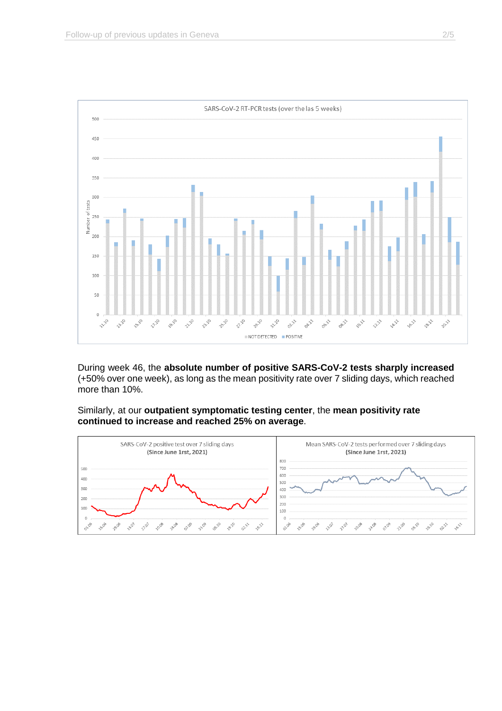

During week 46, the **absolute number of positive SARS-CoV-2 tests sharply increased** (+50% over one week), as long as the mean positivity rate over 7 sliding days, which reached more than 10%.

Similarly, at our **outpatient symptomatic testing center**, the **mean positivity rate continued to increase and reached 25% on average**.

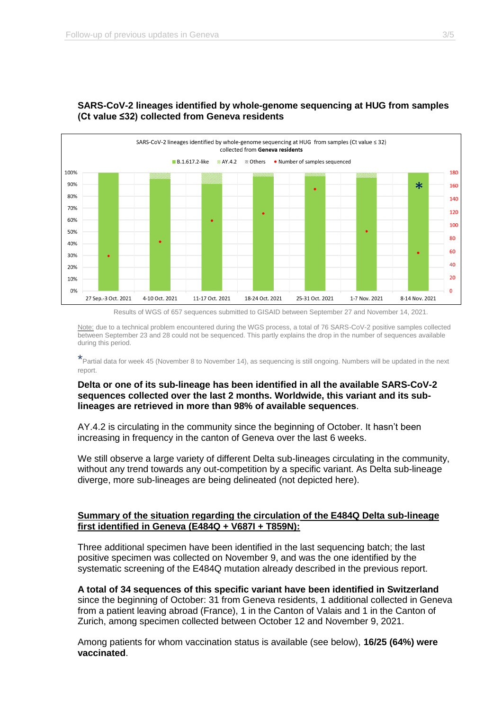

# **SARS-CoV-2 lineages identified by whole-genome sequencing at HUG from samples (Ct value ≤32) collected from Geneva residents**

Results of WGS of 657 sequences submitted to GISAID between September 27 and November 14, 2021.

Note: due to a technical problem encountered during the WGS process, a total of 76 SARS-CoV-2 positive samples collected between September 23 and 28 could not be sequenced. This partly explains the drop in the number of sequences available during this period.

\*Partial data for week 45 (November 8 to November 14), as sequencing is still ongoing. Numbers will be updated in the next report.

## **Delta or one of its sub-lineage has been identified in all the available SARS-CoV-2 sequences collected over the last 2 months. Worldwide, this variant and its sublineages are retrieved in more than 98% of available sequences**.

AY.4.2 is circulating in the community since the beginning of October. It hasn't been increasing in frequency in the canton of Geneva over the last 6 weeks.

We still observe a large variety of different Delta sub-lineages circulating in the community, without any trend towards any out-competition by a specific variant. As Delta sub-lineage diverge, more sub-lineages are being delineated (not depicted here).

### **Summary of the situation regarding the circulation of the E484Q Delta sub-lineage first identified in Geneva (E484Q + V687I + T859N):**

Three additional specimen have been identified in the last sequencing batch; the last positive specimen was collected on November 9, and was the one identified by the systematic screening of the E484Q mutation already described in the previous report.

**A total of 34 sequences of this specific variant have been identified in Switzerland** since the beginning of October: 31 from Geneva residents, 1 additional collected in Geneva from a patient leaving abroad (France), 1 in the Canton of Valais and 1 in the Canton of Zurich, among specimen collected between October 12 and November 9, 2021.

Among patients for whom vaccination status is available (see below), **16/25 (64%) were vaccinated**.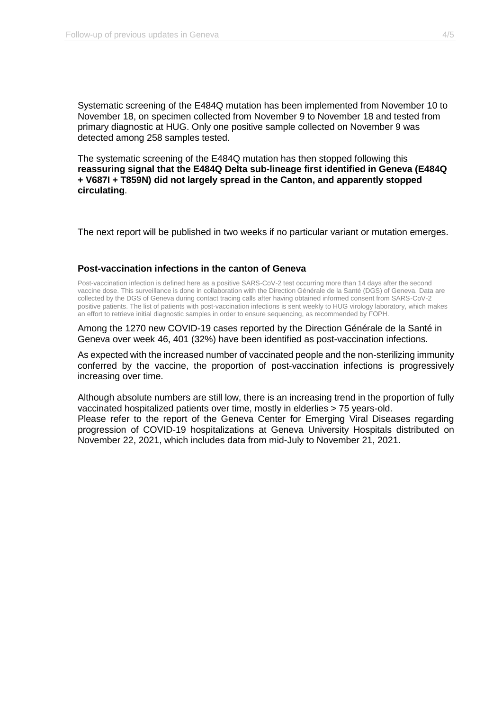Systematic screening of the E484Q mutation has been implemented from November 10 to November 18, on specimen collected from November 9 to November 18 and tested from primary diagnostic at HUG. Only one positive sample collected on November 9 was detected among 258 samples tested.

The systematic screening of the E484Q mutation has then stopped following this **reassuring signal that the E484Q Delta sub-lineage first identified in Geneva (E484Q + V687I + T859N) did not largely spread in the Canton, and apparently stopped circulating**.

The next report will be published in two weeks if no particular variant or mutation emerges.

#### **Post-vaccination infections in the canton of Geneva**

Post-vaccination infection is defined here as a positive SARS-CoV-2 test occurring more than 14 days after the second vaccine dose. This surveillance is done in collaboration with the Direction Générale de la Santé (DGS) of Geneva. Data are collected by the DGS of Geneva during contact tracing calls after having obtained informed consent from SARS-CoV-2 positive patients. The list of patients with post-vaccination infections is sent weekly to HUG virology laboratory, which makes an effort to retrieve initial diagnostic samples in order to ensure sequencing, as recommended by FOPH.

Among the 1270 new COVID-19 cases reported by the Direction Générale de la Santé in Geneva over week 46, 401 (32%) have been identified as post-vaccination infections.

As expected with the increased number of vaccinated people and the non-sterilizing immunity conferred by the vaccine, the proportion of post-vaccination infections is progressively increasing over time.

Although absolute numbers are still low, there is an increasing trend in the proportion of fully vaccinated hospitalized patients over time, mostly in elderlies > 75 years-old. Please refer to the report of the Geneva Center for Emerging Viral Diseases regarding progression of COVID-19 hospitalizations at Geneva University Hospitals distributed on November 22, 2021, which includes data from mid-July to November 21, 2021.